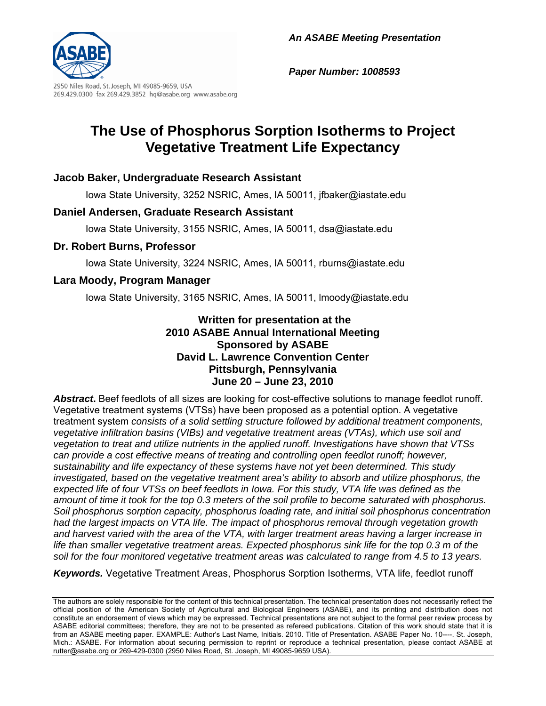

2950 Niles Road, St. Joseph, MI 49085-9659, USA 269.429.0300 fax 269.429.3852 hq@asabe.org www.asabe.org *Paper Number: 1008593*

# **The Use of Phosphorus Sorption Isotherms to Project Vegetative Treatment Life Expectancy**

### **Jacob Baker, Undergraduate Research Assistant**

Iowa State University, 3252 NSRIC, Ames, IA 50011, jfbaker@iastate.edu

### **Daniel Andersen, Graduate Research Assistant**

Iowa State University, 3155 NSRIC, Ames, IA 50011, dsa@iastate.edu

### **Dr. Robert Burns, Professor**

Iowa State University, 3224 NSRIC, Ames, IA 50011, rburns@iastate.edu

### **Lara Moody, Program Manager**

Iowa State University, 3165 NSRIC, Ames, IA 50011, lmoody@iastate.edu

### **Written for presentation at the 2010 ASABE Annual International Meeting Sponsored by ASABE David L. Lawrence Convention Center Pittsburgh, Pennsylvania June 20 – June 23, 2010**

*Abstract***.** Beef feedlots of all sizes are looking for cost-effective solutions to manage feedlot runoff. Vegetative treatment systems (VTSs) have been proposed as a potential option. A vegetative treatment system *consists of a solid settling structure followed by additional treatment components, vegetative infiltration basins (VIBs) and vegetative treatment areas (VTAs), which use soil and vegetation to treat and utilize nutrients in the applied runoff. Investigations have shown that VTSs can provide a cost effective means of treating and controlling open feedlot runoff; however, sustainability and life expectancy of these systems have not yet been determined. This study investigated, based on the vegetative treatment area's ability to absorb and utilize phosphorus, the expected life of four VTSs on beef feedlots in Iowa. For this study, VTA life was defined as the amount of time it took for the top 0.3 meters of the soil profile to become saturated with phosphorus. Soil phosphorus sorption capacity, phosphorus loading rate, and initial soil phosphorus concentration had the largest impacts on VTA life. The impact of phosphorus removal through vegetation growth and harvest varied with the area of the VTA, with larger treatment areas having a larger increase in life than smaller vegetative treatment areas. Expected phosphorus sink life for the top 0.3 m of the soil for the four monitored vegetative treatment areas was calculated to range from 4.5 to 13 years.*

*Keywords.* Vegetative Treatment Areas, Phosphorus Sorption Isotherms, VTA life, feedlot runoff

The authors are solely responsible for the content of this technical presentation. The technical presentation does not necessarily reflect the official position of the American Society of Agricultural and Biological Engineers (ASABE), and its printing and distribution does not constitute an endorsement of views which may be expressed. Technical presentations are not subject to the formal peer review process by ASABE editorial committees; therefore, they are not to be presented as refereed publications. Citation of this work should state that it is from an ASABE meeting paper. EXAMPLE: Author's Last Name, Initials. 2010. Title of Presentation. ASABE Paper No. 10----. St. Joseph, Mich.: ASABE. For information about securing permission to reprint or reproduce a technical presentation, please contact ASABE at rutter@asabe.org or 269-429-0300 (2950 Niles Road, St. Joseph, MI 49085-9659 USA).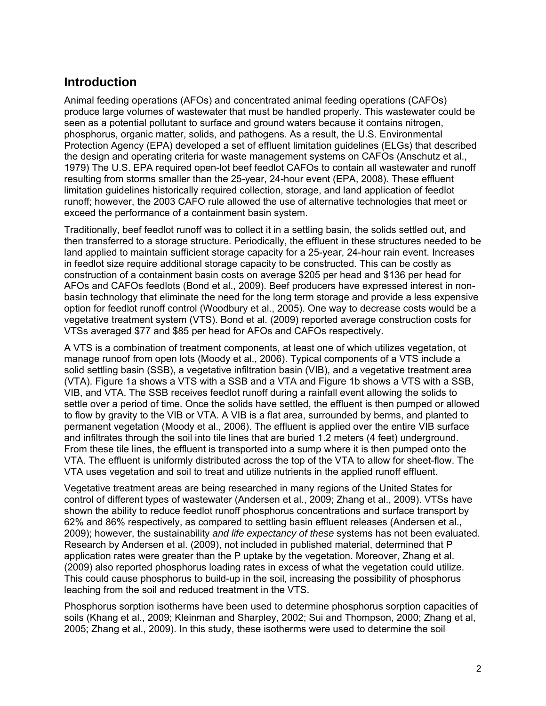## **Introduction**

Animal feeding operations (AFOs) and concentrated animal feeding operations (CAFOs) produce large volumes of wastewater that must be handled properly. This wastewater could be seen as a potential pollutant to surface and ground waters because it contains nitrogen, phosphorus, organic matter, solids, and pathogens. As a result, the U.S. Environmental Protection Agency (EPA) developed a set of effluent limitation guidelines (ELGs) that described the design and operating criteria for waste management systems on CAFOs (Anschutz et al., 1979) The U.S. EPA required open-lot beef feedlot CAFOs to contain all wastewater and runoff resulting from storms smaller than the 25-year, 24-hour event (EPA, 2008). These effluent limitation guidelines historically required collection, storage, and land application of feedlot runoff; however, the 2003 CAFO rule allowed the use of alternative technologies that meet or exceed the performance of a containment basin system.

Traditionally, beef feedlot runoff was to collect it in a settling basin, the solids settled out, and then transferred to a storage structure. Periodically, the effluent in these structures needed to be land applied to maintain sufficient storage capacity for a 25-year, 24-hour rain event. Increases in feedlot size require additional storage capacity to be constructed. This can be costly as construction of a containment basin costs on average \$205 per head and \$136 per head for AFOs and CAFOs feedlots (Bond et al., 2009). Beef producers have expressed interest in nonbasin technology that eliminate the need for the long term storage and provide a less expensive option for feedlot runoff control (Woodbury et al., 2005). One way to decrease costs would be a vegetative treatment system (VTS). Bond et al. (2009) reported average construction costs for VTSs averaged \$77 and \$85 per head for AFOs and CAFOs respectively.

A VTS is a combination of treatment components, at least one of which utilizes vegetation, ot manage runoof from open lots (Moody et al., 2006). Typical components of a VTS include a solid settling basin (SSB), a vegetative infiltration basin (VIB), and a vegetative treatment area (VTA). Figure 1a shows a VTS with a SSB and a VTA and Figure 1b shows a VTS with a SSB, VIB, and VTA. The SSB receives feedlot runoff during a rainfall event allowing the solids to settle over a period of time. Once the solids have settled, the effluent is then pumped or allowed to flow by gravity to the VIB or VTA. A VIB is a flat area, surrounded by berms, and planted to permanent vegetation (Moody et al., 2006). The effluent is applied over the entire VIB surface and infiltrates through the soil into tile lines that are buried 1.2 meters (4 feet) underground. From these tile lines, the effluent is transported into a sump where it is then pumped onto the VTA. The effluent is uniformly distributed across the top of the VTA to allow for sheet-flow. The VTA uses vegetation and soil to treat and utilize nutrients in the applied runoff effluent.

Vegetative treatment areas are being researched in many regions of the United States for control of different types of wastewater (Andersen et al., 2009; Zhang et al., 2009). VTSs have shown the ability to reduce feedlot runoff phosphorus concentrations and surface transport by 62% and 86% respectively, as compared to settling basin effluent releases (Andersen et al., 2009); however, the sustainability *and life expectancy of these* systems has not been evaluated. Research by Andersen et al. (2009), not included in published material, determined that P application rates were greater than the P uptake by the vegetation. Moreover, Zhang et al. (2009) also reported phosphorus loading rates in excess of what the vegetation could utilize. This could cause phosphorus to build-up in the soil, increasing the possibility of phosphorus leaching from the soil and reduced treatment in the VTS.

Phosphorus sorption isotherms have been used to determine phosphorus sorption capacities of soils (Khang et al., 2009; Kleinman and Sharpley, 2002; Sui and Thompson, 2000; Zhang et al, 2005; Zhang et al., 2009). In this study, these isotherms were used to determine the soil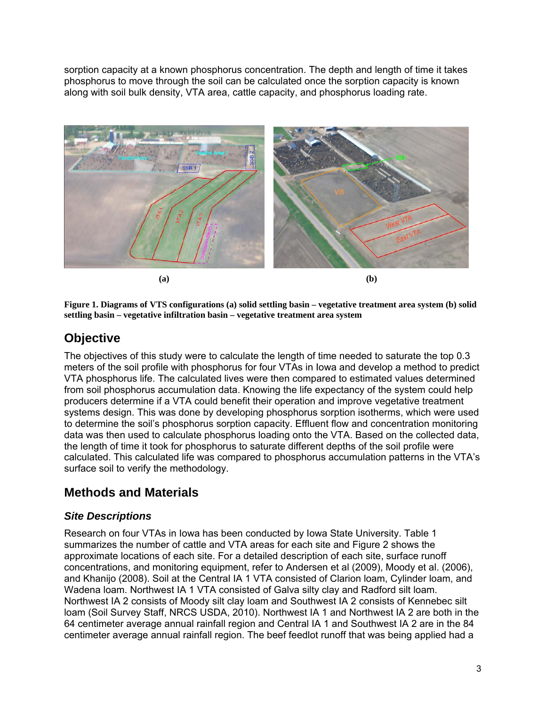sorption capacity at a known phosphorus concentration. The depth and length of time it takes phosphorus to move through the soil can be calculated once the sorption capacity is known along with soil bulk density, VTA area, cattle capacity, and phosphorus loading rate.



**Figure 1. Diagrams of VTS configurations (a) solid settling basin – vegetative treatment area system (b) solid settling basin – vegetative infiltration basin – vegetative treatment area system** 

## **Objective**

The objectives of this study were to calculate the length of time needed to saturate the top 0.3 meters of the soil profile with phosphorus for four VTAs in Iowa and develop a method to predict VTA phosphorus life. The calculated lives were then compared to estimated values determined from soil phosphorus accumulation data. Knowing the life expectancy of the system could help producers determine if a VTA could benefit their operation and improve vegetative treatment systems design. This was done by developing phosphorus sorption isotherms, which were used to determine the soil's phosphorus sorption capacity. Effluent flow and concentration monitoring data was then used to calculate phosphorus loading onto the VTA. Based on the collected data, the length of time it took for phosphorus to saturate different depths of the soil profile were calculated. This calculated life was compared to phosphorus accumulation patterns in the VTA's surface soil to verify the methodology.

## **Methods and Materials**

## *Site Descriptions*

Research on four VTAs in Iowa has been conducted by Iowa State University. Table 1 summarizes the number of cattle and VTA areas for each site and Figure 2 shows the approximate locations of each site. For a detailed description of each site, surface runoff concentrations, and monitoring equipment, refer to Andersen et al (2009), Moody et al. (2006), and Khanijo (2008). Soil at the Central IA 1 VTA consisted of Clarion loam, Cylinder loam, and Wadena loam. Northwest IA 1 VTA consisted of Galva silty clay and Radford silt loam. Northwest IA 2 consists of Moody silt clay loam and Southwest IA 2 consists of Kennebec silt loam (Soil Survey Staff, NRCS USDA, 2010). Northwest IA 1 and Northwest IA 2 are both in the 64 centimeter average annual rainfall region and Central IA 1 and Southwest IA 2 are in the 84 centimeter average annual rainfall region. The beef feedlot runoff that was being applied had a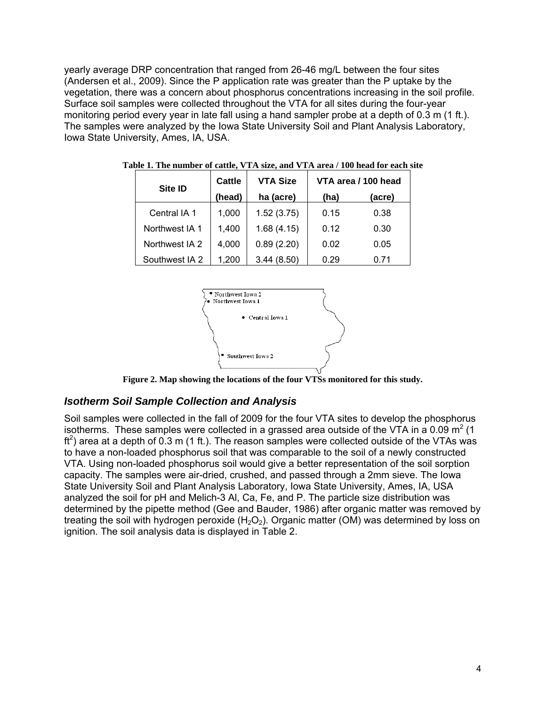yearly average DRP concentration that ranged from 26-46 mg/L between the four sites (Andersen et al., 2009). Since the P application rate was greater than the P uptake by the vegetation, there was a concern about phosphorus concentrations increasing in the soil profile. Surface soil samples were collected throughout the VTA for all sites during the four-year monitoring period every year in late fall using a hand sampler probe at a depth of 0.3 m (1 ft.). The samples were analyzed by the Iowa State University Soil and Plant Analysis Laboratory, Iowa State University, Ames, IA, USA.

| Site ID        | <b>Cattle</b> | <b>VTA Size</b> | VTA area / 100 head |        |  |
|----------------|---------------|-----------------|---------------------|--------|--|
|                | (head)        | ha (acre)       | (ha)                | (acre) |  |
| Central IA 1   | 1,000         | 1.52(3.75)      | 0.15                | 0.38   |  |
| Northwest IA 1 | 1,400         | 1.68(4.15)      | 0.12                | 0.30   |  |
| Northwest IA 2 | 4,000         | 0.89(2.20)      | 0.02                | 0.05   |  |
| Southwest IA 2 | 1.200         | 3.44(8.50)      | 0.29                | 0.71   |  |

**Table 1. The number of cattle, VTA size, and VTA area / 100 head for each site** 



**Figure 2. Map showing the locations of the four VTSs monitored for this study.** 

### *Isotherm Soil Sample Collection and Analysis*

Soil samples were collected in the fall of 2009 for the four VTA sites to develop the phosphorus isotherms. These samples were collected in a grassed area outside of the VTA in a 0.09 m<sup>2</sup> (1  $ft<sup>2</sup>$ ) area at a depth of 0.3 m (1 ft.). The reason samples were collected outside of the VTAs was to have a non-loaded phosphorus soil that was comparable to the soil of a newly constructed VTA. Using non-loaded phosphorus soil would give a better representation of the soil sorption capacity. The samples were air-dried, crushed, and passed through a 2mm sieve. The Iowa State University Soil and Plant Analysis Laboratory, Iowa State University, Ames, IA, USA analyzed the soil for pH and Melich-3 Al, Ca, Fe, and P. The particle size distribution was determined by the pipette method (Gee and Bauder, 1986) after organic matter was removed by treating the soil with hydrogen peroxide  $(H_2O_2)$ . Organic matter (OM) was determined by loss on ignition. The soil analysis data is displayed in Table 2.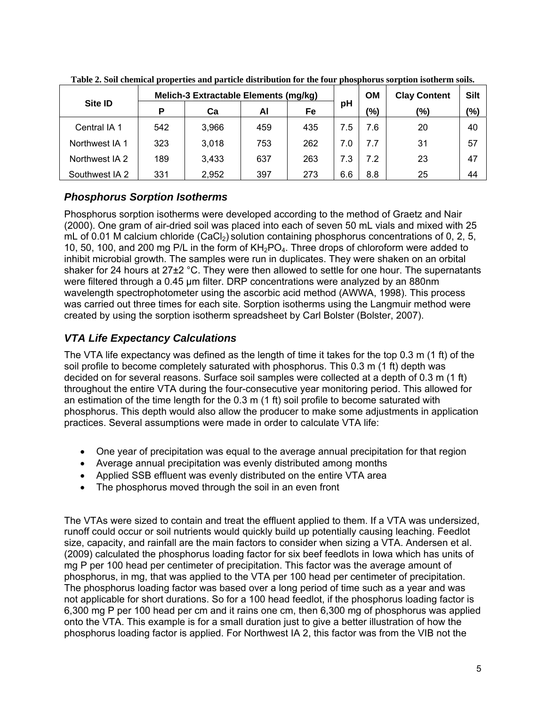|                |     | Melich-3 Extractable Elements (mg/kg) |     |     | <b>OM</b><br><b>Clay Content</b> |     |                | Silt           |
|----------------|-----|---------------------------------------|-----|-----|----------------------------------|-----|----------------|----------------|
| Site ID        | P   | Сa                                    | ΑI  | Fe  | рH                               | (%) | $\frac{10}{6}$ | $\frac{10}{6}$ |
| Central IA 1   | 542 | 3,966                                 | 459 | 435 | 7.5                              | 7.6 | 20             | 40             |
| Northwest IA 1 | 323 | 3.018                                 | 753 | 262 | 7.0                              | 7.7 | 31             | 57             |
| Northwest IA 2 | 189 | 3,433                                 | 637 | 263 | 7.3                              | 7.2 | 23             | 47             |
| Southwest IA 2 | 331 | 2.952                                 | 397 | 273 | 6.6                              | 8.8 | 25             | 44             |

**Table 2. Soil chemical properties and particle distribution for the four phosphorus sorption isotherm soils.** 

## *Phosphorus Sorption Isotherms*

Phosphorus sorption isotherms were developed according to the method of Graetz and Nair (2000). One gram of air-dried soil was placed into each of seven 50 mL vials and mixed with 25 mL of 0.01 M calcium chloride (CaCl<sub>2</sub>) solution containing phosphorus concentrations of 0, 2, 5, 10, 50, 100, and 200 mg P/L in the form of  $KH<sub>2</sub>PO<sub>4</sub>$ . Three drops of chloroform were added to inhibit microbial growth. The samples were run in duplicates. They were shaken on an orbital shaker for 24 hours at  $27\pm2$  °C. They were then allowed to settle for one hour. The supernatants were filtered through a 0.45 µm filter. DRP concentrations were analyzed by an 880nm wavelength spectrophotometer using the ascorbic acid method (AWWA, 1998). This process was carried out three times for each site. Sorption isotherms using the Langmuir method were created by using the sorption isotherm spreadsheet by Carl Bolster (Bolster, 2007).

## *VTA Life Expectancy Calculations*

The VTA life expectancy was defined as the length of time it takes for the top 0.3 m (1 ft) of the soil profile to become completely saturated with phosphorus. This 0.3 m (1 ft) depth was decided on for several reasons. Surface soil samples were collected at a depth of 0.3 m (1 ft) throughout the entire VTA during the four-consecutive year monitoring period. This allowed for an estimation of the time length for the 0.3 m (1 ft) soil profile to become saturated with phosphorus. This depth would also allow the producer to make some adjustments in application practices. Several assumptions were made in order to calculate VTA life:

- One year of precipitation was equal to the average annual precipitation for that region
- Average annual precipitation was evenly distributed among months
- Applied SSB effluent was evenly distributed on the entire VTA area
- The phosphorus moved through the soil in an even front

The VTAs were sized to contain and treat the effluent applied to them. If a VTA was undersized, runoff could occur or soil nutrients would quickly build up potentially causing leaching. Feedlot size, capacity, and rainfall are the main factors to consider when sizing a VTA. Andersen et al. (2009) calculated the phosphorus loading factor for six beef feedlots in Iowa which has units of mg P per 100 head per centimeter of precipitation. This factor was the average amount of phosphorus, in mg, that was applied to the VTA per 100 head per centimeter of precipitation. The phosphorus loading factor was based over a long period of time such as a year and was not applicable for short durations. So for a 100 head feedlot, if the phosphorus loading factor is 6,300 mg P per 100 head per cm and it rains one cm, then 6,300 mg of phosphorus was applied onto the VTA. This example is for a small duration just to give a better illustration of how the phosphorus loading factor is applied. For Northwest IA 2, this factor was from the VIB not the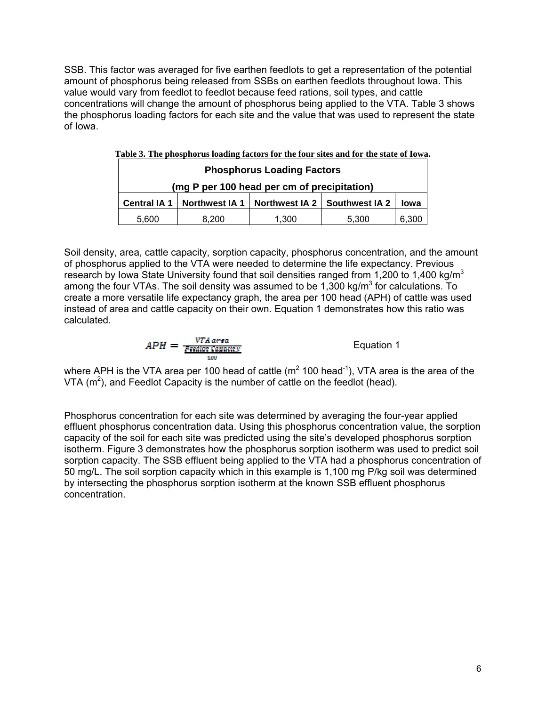SSB. This factor was averaged for five earthen feedlots to get a representation of the potential amount of phosphorus being released from SSBs on earthen feedlots throughout Iowa. This value would vary from feedlot to feedlot because feed rations, soil types, and cattle concentrations will change the amount of phosphorus being applied to the VTA. Table 3 shows the phosphorus loading factors for each site and the value that was used to represent the state of Iowa.

| <b>Phosphorus Loading Factors</b>           |       |                                                  |       |             |  |  |
|---------------------------------------------|-------|--------------------------------------------------|-------|-------------|--|--|
| (mg P per 100 head per cm of precipitation) |       |                                                  |       |             |  |  |
| Central IA 1                                |       | Northwest IA 1   Northwest IA 2   Southwest IA 2 |       | <b>lowa</b> |  |  |
| 5,600                                       | 8.200 | 1,300                                            | 5.300 | 6,300       |  |  |

| Table 3. The phosphorus loading factors for the four sites and for the state of Iowa. |
|---------------------------------------------------------------------------------------|
|---------------------------------------------------------------------------------------|

Soil density, area, cattle capacity, sorption capacity, phosphorus concentration, and the amount of phosphorus applied to the VTA were needed to determine the life expectancy. Previous research by Iowa State University found that soil densities ranged from 1,200 to 1,400 kg/m<sup>3</sup> among the four VTAs. The soil density was assumed to be 1,300 kg/m<sup>3</sup> for calculations. To create a more versatile life expectancy graph, the area per 100 head (APH) of cattle was used instead of area and cattle capacity on their own. Equation 1 demonstrates how this ratio was calculated.

$$
APH = \frac{VTA\,area}{\frac{Feedlot\,Capacity}{100}}
$$

Equation 1

where APH is the VTA area per 100 head of cattle (m<sup>2</sup> 100 head<sup>-1</sup>), VTA area is the area of the VTA ( $m^2$ ), and Feedlot Capacity is the number of cattle on the feedlot (head).

Phosphorus concentration for each site was determined by averaging the four-year applied effluent phosphorus concentration data. Using this phosphorus concentration value, the sorption capacity of the soil for each site was predicted using the site's developed phosphorus sorption isotherm. Figure 3 demonstrates how the phosphorus sorption isotherm was used to predict soil sorption capacity. The SSB effluent being applied to the VTA had a phosphorus concentration of 50 mg/L. The soil sorption capacity which in this example is 1,100 mg P/kg soil was determined by intersecting the phosphorus sorption isotherm at the known SSB effluent phosphorus concentration.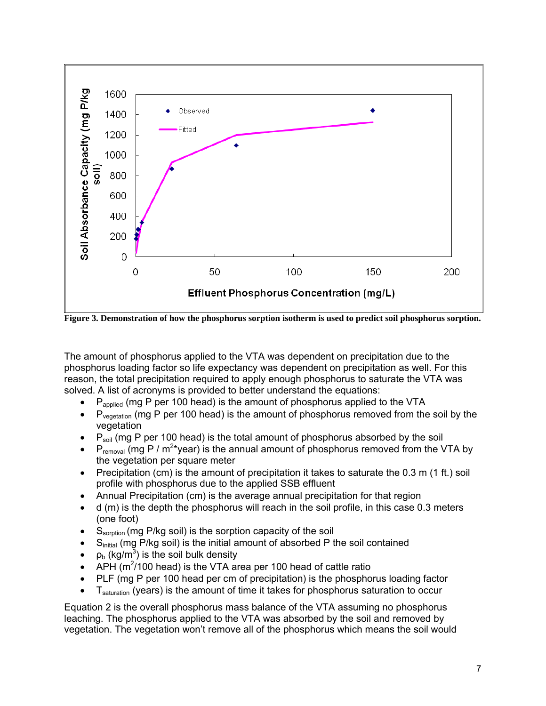

**Figure 3. Demonstration of how the phosphorus sorption isotherm is used to predict soil phosphorus sorption.** 

The amount of phosphorus applied to the VTA was dependent on precipitation due to the phosphorus loading factor so life expectancy was dependent on precipitation as well. For this reason, the total precipitation required to apply enough phosphorus to saturate the VTA was solved. A list of acronyms is provided to better understand the equations:

- P<sub>applied</sub> (mg P per 100 head) is the amount of phosphorus applied to the VTA
- $P_{vector}$  (mg P per 100 head) is the amount of phosphorus removed from the soil by the vegetation
- $P_{soli}$  (mg P per 100 head) is the total amount of phosphorus absorbed by the soil
- P<sub>removal</sub> (mg P / m<sup>2\*</sup>year) is the annual amount of phosphorus removed from the VTA by the vegetation per square meter
- Precipitation (cm) is the amount of precipitation it takes to saturate the 0.3 m (1 ft.) soil profile with phosphorus due to the applied SSB effluent
- Annual Precipitation (cm) is the average annual precipitation for that region
- $\bullet$  d (m) is the depth the phosphorus will reach in the soil profile, in this case 0.3 meters (one foot)
- $S_{\text{sortion}}$  (mg P/kg soil) is the sorption capacity of the soil
- $S<sub>initial</sub>$  (mg P/kg soil) is the initial amount of absorbed P the soil contained
- $\rho_b$  (kg/m<sup>3</sup>) is the soil bulk density
- APH  $(m^2/100 \text{ head})$  is the VTA area per 100 head of cattle ratio
- PLF (mg P per 100 head per cm of precipitation) is the phosphorus loading factor
- $T_{saturation}$  (years) is the amount of time it takes for phosphorus saturation to occur

Equation 2 is the overall phosphorus mass balance of the VTA assuming no phosphorus leaching. The phosphorus applied to the VTA was absorbed by the soil and removed by vegetation. The vegetation won't remove all of the phosphorus which means the soil would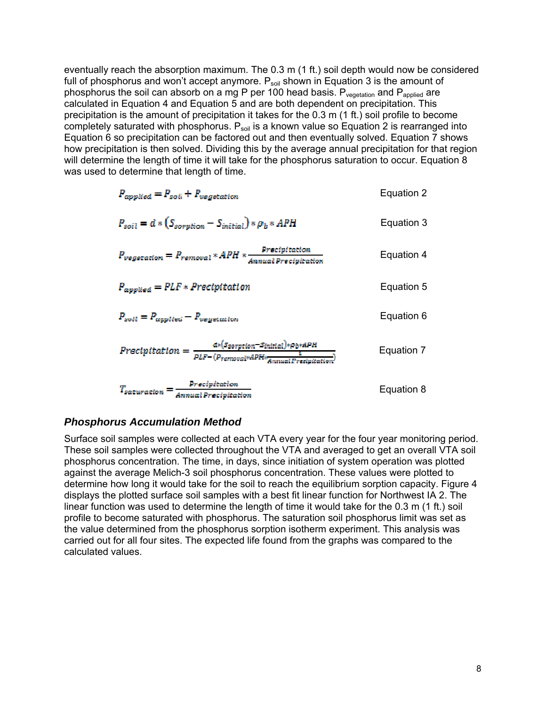eventually reach the absorption maximum. The 0.3 m (1 ft.) soil depth would now be considered full of phosphorus and won't accept anymore.  $P_{soli}$  shown in Equation 3 is the amount of phosphorus the soil can absorb on a mg P per 100 head basis.  $P_{veeetaation}$  and  $P_{aopiled}$  are calculated in Equation 4 and Equation 5 and are both dependent on precipitation. This precipitation is the amount of precipitation it takes for the 0.3 m (1 ft.) soil profile to become completely saturated with phosphorus.  $P_{soli}$  is a known value so Equation 2 is rearranged into Equation 6 so precipitation can be factored out and then eventually solved. Equation 7 shows how precipitation is then solved. Dividing this by the average annual precipitation for that region will determine the length of time it will take for the phosphorus saturation to occur. Equation 8 was used to determine that length of time.

| $P_{\alpha\nu\nu i i s d} = P_{\alpha\alpha i} + P_{\nu\alpha\alpha\beta\alpha\alpha i c m}$                                                                                                                                                                                                                                                                                                                                                                                                                              | Equation 2 |
|---------------------------------------------------------------------------------------------------------------------------------------------------------------------------------------------------------------------------------------------------------------------------------------------------------------------------------------------------------------------------------------------------------------------------------------------------------------------------------------------------------------------------|------------|
| $P_{soil} = d * (S_{corotion} - S_{initial}) * \rho_b * APH$                                                                                                                                                                                                                                                                                                                                                                                                                                                              | Equation 3 |
| $P_{vegeration} = P_{removal} * API * \frac{Precisionization}{Annual Precision}$                                                                                                                                                                                                                                                                                                                                                                                                                                          | Equation 4 |
| $P_{a \nu v \ell i \sigma d} = PLF * Precision$                                                                                                                                                                                                                                                                                                                                                                                                                                                                           | Equation 5 |
| $P_{solid}=P_{coupling}-P_{weighted}$                                                                                                                                                                                                                                                                                                                                                                                                                                                                                     | Equation 6 |
| $\small \textit{Precision} = \frac{a * (S_{\small \textit{Sorption}} - S_{\small \textit{initial}}) * p_{b} * APH}{p_{\small \textit{LF}} - (p_{\small \textit{removal}} * APH *_{\small \textit{AnnualPrecision}})}{p_{\small \textit{S}} + p_{\small \textit{S}} + p_{\small \textit{S}} + p_{\small \textit{S}} + p_{\small \textit{S}} + p_{\small \textit{S}} + p_{\small \textit{S}} + p_{\small \textit{S}} + p_{\small \textit{S}} + p_{\small \textit{S}} + p_{\small \textit{S}} + p_{\small \textit{S}} + p_{$ | Equation 7 |
| $T_{saturation} = \frac{Preception}{Annual Precision}$                                                                                                                                                                                                                                                                                                                                                                                                                                                                    | Equation 8 |

### *Phosphorus Accumulation Method*

Surface soil samples were collected at each VTA every year for the four year monitoring period. These soil samples were collected throughout the VTA and averaged to get an overall VTA soil phosphorus concentration. The time, in days, since initiation of system operation was plotted against the average Melich-3 soil phosphorus concentration. These values were plotted to determine how long it would take for the soil to reach the equilibrium sorption capacity. Figure 4 displays the plotted surface soil samples with a best fit linear function for Northwest IA 2. The linear function was used to determine the length of time it would take for the 0.3 m (1 ft.) soil profile to become saturated with phosphorus. The saturation soil phosphorus limit was set as the value determined from the phosphorus sorption isotherm experiment. This analysis was carried out for all four sites. The expected life found from the graphs was compared to the calculated values.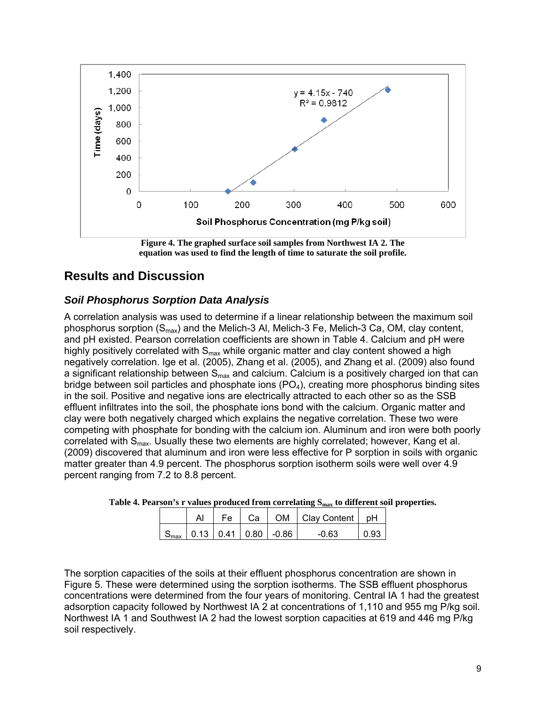

**Figure 4. The graphed surface soil samples from Northwest IA 2. The equation was used to find the length of time to saturate the soil profile.** 

## **Results and Discussion**

## *Soil Phosphorus Sorption Data Analysis*

A correlation analysis was used to determine if a linear relationship between the maximum soil phosphorus sorption  $(S_{max})$  and the Melich-3 Al, Melich-3 Fe, Melich-3 Ca, OM, clay content, and pH existed. Pearson correlation coefficients are shown in Table 4. Calcium and pH were highly positively correlated with  $S_{\text{max}}$  while organic matter and clay content showed a high negatively correlation. Ige et al. (2005), Zhang et al. (2005), and Zhang et al. (2009) also found a significant relationship between  $S_{max}$  and calcium. Calcium is a positively charged ion that can bridge between soil particles and phosphate ions  $(PO<sub>4</sub>)$ , creating more phosphorus binding sites in the soil. Positive and negative ions are electrically attracted to each other so as the SSB effluent infiltrates into the soil, the phosphate ions bond with the calcium. Organic matter and clay were both negatively charged which explains the negative correlation. These two were competing with phosphate for bonding with the calcium ion. Aluminum and iron were both poorly correlated with S<sub>max</sub>. Usually these two elements are highly correlated; however, Kang et al. (2009) discovered that aluminum and iron were less effective for P sorption in soils with organic matter greater than 4.9 percent. The phosphorus sorption isotherm soils were well over 4.9 percent ranging from 7.2 to 8.8 percent.

|  | Fe. | Ca I |                               | OM   Clay Content   pH |      |
|--|-----|------|-------------------------------|------------------------|------|
|  |     |      | 。│ 0.13 │ 0.41 │ 0.80 │ -0.86 | $-0.63$                | 0.93 |

The sorption capacities of the soils at their effluent phosphorus concentration are shown in Figure 5. These were determined using the sorption isotherms. The SSB effluent phosphorus concentrations were determined from the four years of monitoring. Central IA 1 had the greatest adsorption capacity followed by Northwest IA 2 at concentrations of 1,110 and 955 mg P/kg soil. Northwest IA 1 and Southwest IA 2 had the lowest sorption capacities at 619 and 446 mg P/kg soil respectively.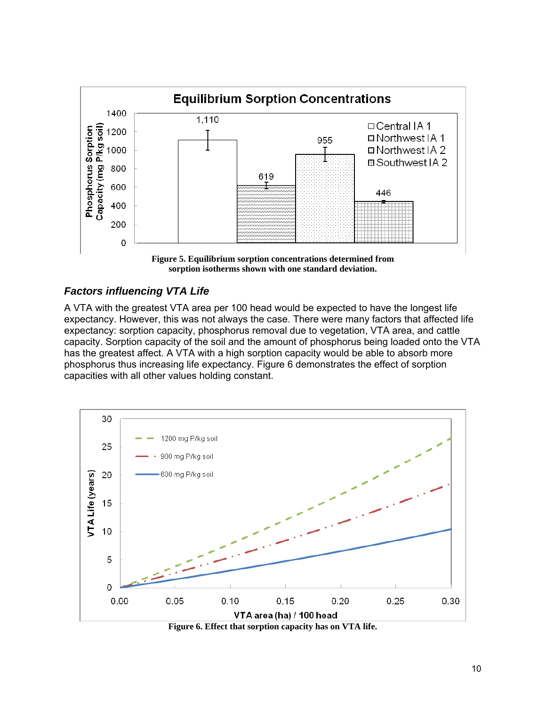

**Figure 5. Equilibrium sorption concentrations determined from sorption isotherms shown with one standard deviation.** 

### *Factors influencing VTA Life*

A VTA with the greatest VTA area per 100 head would be expected to have the longest life expectancy. However, this was not always the case. There were many factors that affected life expectancy: sorption capacity, phosphorus removal due to vegetation, VTA area, and cattle capacity. Sorption capacity of the soil and the amount of phosphorus being loaded onto the VTA has the greatest affect. A VTA with a high sorption capacity would be able to absorb more phosphorus thus increasing life expectancy. Figure 6 demonstrates the effect of sorption capacities with all other values holding constant.

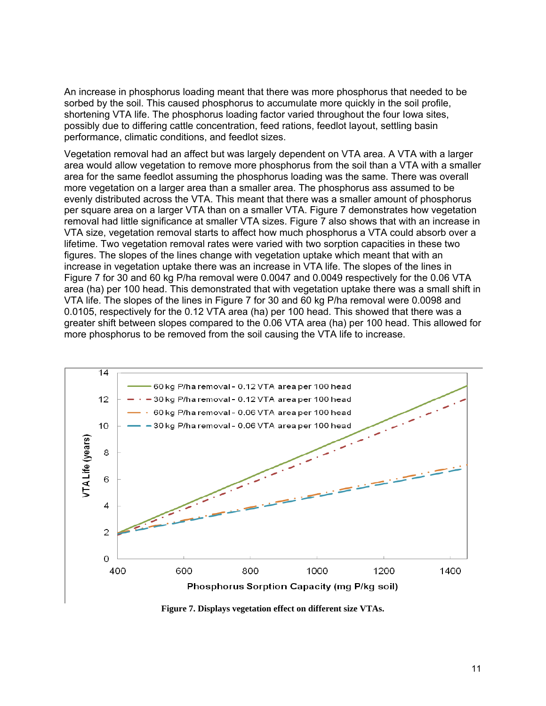An increase in phosphorus loading meant that there was more phosphorus that needed to be sorbed by the soil. This caused phosphorus to accumulate more quickly in the soil profile, shortening VTA life. The phosphorus loading factor varied throughout the four Iowa sites, possibly due to differing cattle concentration, feed rations, feedlot layout, settling basin performance, climatic conditions, and feedlot sizes.

Vegetation removal had an affect but was largely dependent on VTA area. A VTA with a larger area would allow vegetation to remove more phosphorus from the soil than a VTA with a smaller area for the same feedlot assuming the phosphorus loading was the same. There was overall more vegetation on a larger area than a smaller area. The phosphorus ass assumed to be evenly distributed across the VTA. This meant that there was a smaller amount of phosphorus per square area on a larger VTA than on a smaller VTA. Figure 7 demonstrates how vegetation removal had little significance at smaller VTA sizes. Figure 7 also shows that with an increase in VTA size, vegetation removal starts to affect how much phosphorus a VTA could absorb over a lifetime. Two vegetation removal rates were varied with two sorption capacities in these two figures. The slopes of the lines change with vegetation uptake which meant that with an increase in vegetation uptake there was an increase in VTA life. The slopes of the lines in Figure 7 for 30 and 60 kg P/ha removal were 0.0047 and 0.0049 respectively for the 0.06 VTA area (ha) per 100 head. This demonstrated that with vegetation uptake there was a small shift in VTA life. The slopes of the lines in Figure 7 for 30 and 60 kg P/ha removal were 0.0098 and 0.0105, respectively for the 0.12 VTA area (ha) per 100 head. This showed that there was a greater shift between slopes compared to the 0.06 VTA area (ha) per 100 head. This allowed for more phosphorus to be removed from the soil causing the VTA life to increase.



**Figure 7. Displays vegetation effect on different size VTAs.**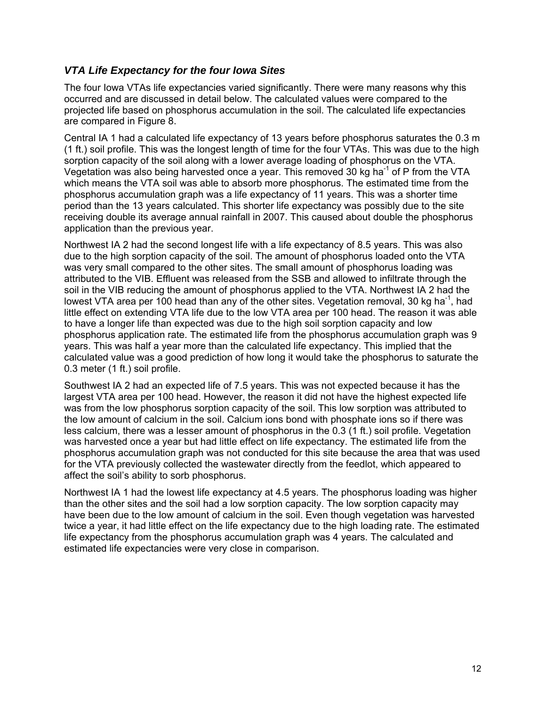### *VTA Life Expectancy for the four Iowa Sites*

The four Iowa VTAs life expectancies varied significantly. There were many reasons why this occurred and are discussed in detail below. The calculated values were compared to the projected life based on phosphorus accumulation in the soil. The calculated life expectancies are compared in Figure 8.

Central IA 1 had a calculated life expectancy of 13 years before phosphorus saturates the 0.3 m (1 ft.) soil profile. This was the longest length of time for the four VTAs. This was due to the high sorption capacity of the soil along with a lower average loading of phosphorus on the VTA. Vegetation was also being harvested once a year. This removed 30 kg ha<sup>-1</sup> of P from the VTA which means the VTA soil was able to absorb more phosphorus. The estimated time from the phosphorus accumulation graph was a life expectancy of 11 years. This was a shorter time period than the 13 years calculated. This shorter life expectancy was possibly due to the site receiving double its average annual rainfall in 2007. This caused about double the phosphorus application than the previous year.

Northwest IA 2 had the second longest life with a life expectancy of 8.5 years. This was also due to the high sorption capacity of the soil. The amount of phosphorus loaded onto the VTA was very small compared to the other sites. The small amount of phosphorus loading was attributed to the VIB. Effluent was released from the SSB and allowed to infiltrate through the soil in the VIB reducing the amount of phosphorus applied to the VTA. Northwest IA 2 had the lowest VTA area per 100 head than any of the other sites. Vegetation removal, 30 kg ha<sup>-1</sup>, had little effect on extending VTA life due to the low VTA area per 100 head. The reason it was able to have a longer life than expected was due to the high soil sorption capacity and low phosphorus application rate. The estimated life from the phosphorus accumulation graph was 9 years. This was half a year more than the calculated life expectancy. This implied that the calculated value was a good prediction of how long it would take the phosphorus to saturate the 0.3 meter (1 ft.) soil profile.

Southwest IA 2 had an expected life of 7.5 years. This was not expected because it has the largest VTA area per 100 head. However, the reason it did not have the highest expected life was from the low phosphorus sorption capacity of the soil. This low sorption was attributed to the low amount of calcium in the soil. Calcium ions bond with phosphate ions so if there was less calcium, there was a lesser amount of phosphorus in the 0.3 (1 ft.) soil profile. Vegetation was harvested once a year but had little effect on life expectancy. The estimated life from the phosphorus accumulation graph was not conducted for this site because the area that was used for the VTA previously collected the wastewater directly from the feedlot, which appeared to affect the soil's ability to sorb phosphorus.

Northwest IA 1 had the lowest life expectancy at 4.5 years. The phosphorus loading was higher than the other sites and the soil had a low sorption capacity. The low sorption capacity may have been due to the low amount of calcium in the soil. Even though vegetation was harvested twice a year, it had little effect on the life expectancy due to the high loading rate. The estimated life expectancy from the phosphorus accumulation graph was 4 years. The calculated and estimated life expectancies were very close in comparison.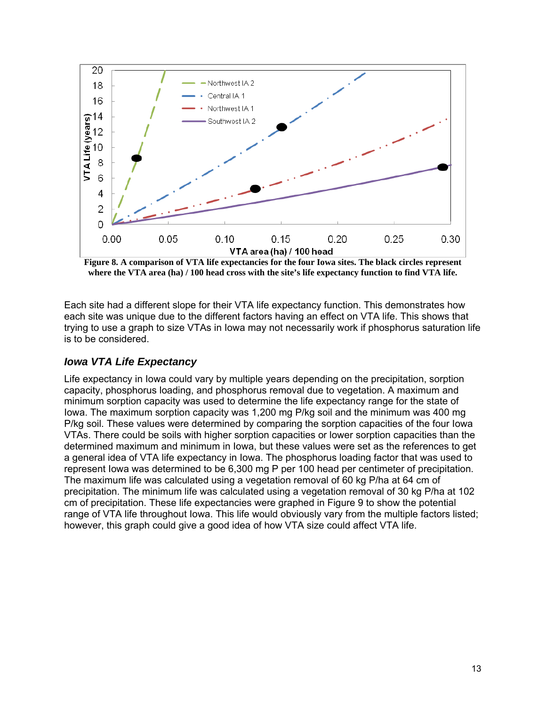

**Figure 8. A comparison of VTA life expectancies for the four Iowa sites. The black circles represent where the VTA area (ha) / 100 head cross with the site's life expectancy function to find VTA life.** 

Each site had a different slope for their VTA life expectancy function. This demonstrates how each site was unique due to the different factors having an effect on VTA life. This shows that trying to use a graph to size VTAs in Iowa may not necessarily work if phosphorus saturation life is to be considered.

### *Iowa VTA Life Expectancy*

Life expectancy in Iowa could vary by multiple years depending on the precipitation, sorption capacity, phosphorus loading, and phosphorus removal due to vegetation. A maximum and minimum sorption capacity was used to determine the life expectancy range for the state of Iowa. The maximum sorption capacity was 1,200 mg P/kg soil and the minimum was 400 mg P/kg soil. These values were determined by comparing the sorption capacities of the four Iowa VTAs. There could be soils with higher sorption capacities or lower sorption capacities than the determined maximum and minimum in Iowa, but these values were set as the references to get a general idea of VTA life expectancy in Iowa. The phosphorus loading factor that was used to represent Iowa was determined to be 6,300 mg P per 100 head per centimeter of precipitation. The maximum life was calculated using a vegetation removal of 60 kg P/ha at 64 cm of precipitation. The minimum life was calculated using a vegetation removal of 30 kg P/ha at 102 cm of precipitation. These life expectancies were graphed in Figure 9 to show the potential range of VTA life throughout Iowa. This life would obviously vary from the multiple factors listed; however, this graph could give a good idea of how VTA size could affect VTA life.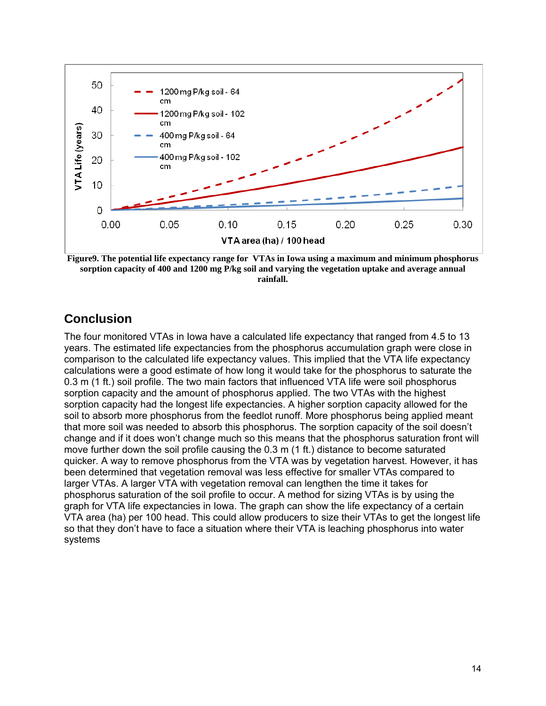

**Figure9. The potential life expectancy range for VTAs in Iowa using a maximum and minimum phosphorus sorption capacity of 400 and 1200 mg P/kg soil and varying the vegetation uptake and average annual rainfall.** 

## **Conclusion**

The four monitored VTAs in Iowa have a calculated life expectancy that ranged from 4.5 to 13 years. The estimated life expectancies from the phosphorus accumulation graph were close in comparison to the calculated life expectancy values. This implied that the VTA life expectancy calculations were a good estimate of how long it would take for the phosphorus to saturate the 0.3 m (1 ft.) soil profile. The two main factors that influenced VTA life were soil phosphorus sorption capacity and the amount of phosphorus applied. The two VTAs with the highest sorption capacity had the longest life expectancies. A higher sorption capacity allowed for the soil to absorb more phosphorus from the feedlot runoff. More phosphorus being applied meant that more soil was needed to absorb this phosphorus. The sorption capacity of the soil doesn't change and if it does won't change much so this means that the phosphorus saturation front will move further down the soil profile causing the 0.3 m (1 ft.) distance to become saturated quicker. A way to remove phosphorus from the VTA was by vegetation harvest. However, it has been determined that vegetation removal was less effective for smaller VTAs compared to larger VTAs. A larger VTA with vegetation removal can lengthen the time it takes for phosphorus saturation of the soil profile to occur. A method for sizing VTAs is by using the graph for VTA life expectancies in Iowa. The graph can show the life expectancy of a certain VTA area (ha) per 100 head. This could allow producers to size their VTAs to get the longest life so that they don't have to face a situation where their VTA is leaching phosphorus into water systems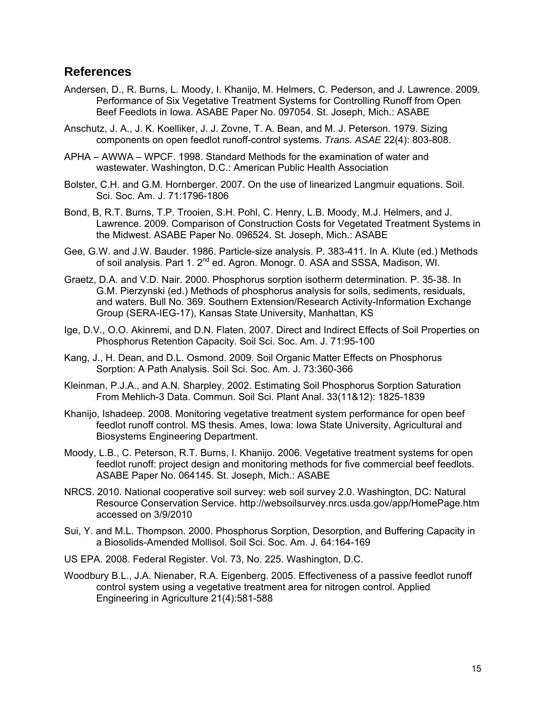## **References**

- Andersen, D., R. Burns, L. Moody, I. Khanijo, M. Helmers, C. Pederson, and J. Lawrence. 2009. Performance of Six Vegetative Treatment Systems for Controlling Runoff from Open Beef Feedlots in Iowa. ASABE Paper No. 097054. St. Joseph, Mich.: ASABE
- Anschutz, J. A., J. K. Koelliker, J. J. Zovne, T. A. Bean, and M. J. Peterson. 1979. Sizing components on open feedlot runoff-control systems. *Trans. ASAE* 22(4): 803-808.
- APHA AWWA WPCF. 1998. Standard Methods for the examination of water and wastewater. Washington, D.C.: American Public Health Association
- Bolster, C.H. and G.M. Hornberger. 2007. On the use of linearized Langmuir equations. Soil. Sci. Soc. Am. J. 71:1796-1806
- Bond, B, R.T. Burns, T.P. Trooien, S.H. Pohl, C. Henry, L.B. Moody, M.J. Helmers, and J. Lawrence. 2009. Comparison of Construction Costs for Vegetated Treatment Systems in the Midwest. ASABE Paper No. 096524. St. Joseph, Mich.: ASABE
- Gee, G.W. and J.W. Bauder. 1986. Particle-size analysis. P. 383-411. In A. Klute (ed.) Methods of soil analysis. Part 1. 2<sup>nd</sup> ed. Agron. Monogr. 0. ASA and SSSA, Madison, WI.
- Graetz, D.A. and V.D. Nair. 2000. Phosphorus sorption isotherm determination. P. 35-38. In G.M. Pierzynski (ed.) Methods of phosphorus analysis for soils, sediments, residuals, and waters. Bull No. 369. Southern Extension/Research Activity-Information Exchange Group (SERA-IEG-17), Kansas State University, Manhattan, KS
- Ige, D.V., O.O. Akinremi, and D.N. Flaten. 2007. Direct and Indirect Effects of Soil Properties on Phosphorus Retention Capacity. Soil Sci. Soc. Am. J. 71:95-100
- Kang, J., H. Dean, and D.L. Osmond. 2009. Soil Organic Matter Effects on Phosphorus Sorption: A Path Analysis. Soil Sci. Soc. Am. J. 73:360-366
- Kleinman, P.J.A., and A.N. Sharpley. 2002. Estimating Soil Phosphorus Sorption Saturation From Mehlich-3 Data. Commun. Soil Sci. Plant Anal. 33(11&12): 1825-1839
- Khanijo, Ishadeep. 2008. Monitoring vegetative treatment system performance for open beef feedlot runoff control. MS thesis. Ames, Iowa: Iowa State University, Agricultural and Biosystems Engineering Department.
- Moody, L.B., C. Peterson, R.T. Burns, I. Khanijo. 2006. Vegetative treatment systems for open feedlot runoff: project design and monitoring methods for five commercial beef feedlots. ASABE Paper No. 064145. St. Joseph, Mich.: ASABE
- NRCS. 2010. National cooperative soil survey: web soil survey 2.0. Washington, DC: Natural Resource Conservation Service. http://websoilsurvey.nrcs.usda.gov/app/HomePage.htm accessed on 3/9/2010
- Sui, Y. and M.L. Thompson. 2000. Phosphorus Sorption, Desorption, and Buffering Capacity in a Biosolids-Amended Mollisol. Soil Sci. Soc. Am. J. 64:164-169
- US EPA. 2008. Federal Register. Vol. 73, No. 225. Washington, D.C.
- Woodbury B.L., J.A. Nienaber, R.A. Eigenberg. 2005. Effectiveness of a passive feedlot runoff control system using a vegetative treatment area for nitrogen control. Applied Engineering in Agriculture 21(4):581-588